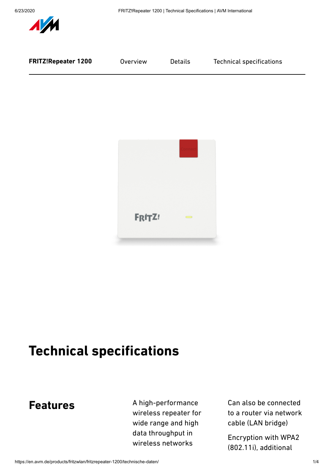



# **Technical specifications**

### **Features**

A high-performance wireless repeater for wide range and high data throughput in wireless networks

Can also be connected to a router via network cable (LAN bridge)

Encryption with WPA2 (802.11i), additional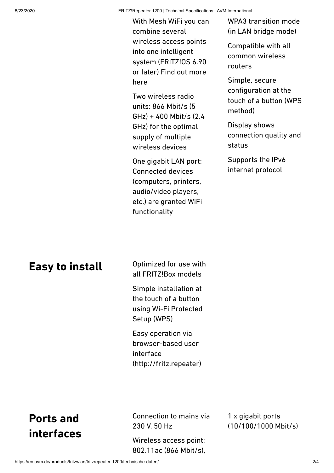6/23/2020 FRITZ!Repeater 1200 | Technical Specifications | AVM International

With Mesh WiFi you can combine several wireless access points into one intelligent system (FRITZ!OS 6.90 or later) Find out more [here](https://avm.de/mesh/)

Two wireless radio units: 866 Mbit/s (5 GHz) + 400 Mbit/s (2.4 GHz) for the optimal supply of multiple wireless devices

One gigabit LAN port: Connected devices (computers, printers, audio/video players, etc.) are granted WiFi functionality

WPA3 transition mode (in LAN bridge mode)

Compatible with all common wireless routers

Simple, secure configuration at the touch of a button (WPS method)

Display shows connection quality and status

Supports the IPv6 internet protocol

#### **Easy to install**

Optimized for use with all FRITZ!Box models

Simple installation at the touch of a button using Wi-Fi Protected Setup (WPS)

Easy operation via browser-based user interface (http://fritz.repeater)

# **Ports and interfaces**

Connection to mains via 230 V, 50 Hz

Wireless access point: 802.11ac (866 Mbit/s),

1 x gigabit ports (10/100/1000 Mbit/s)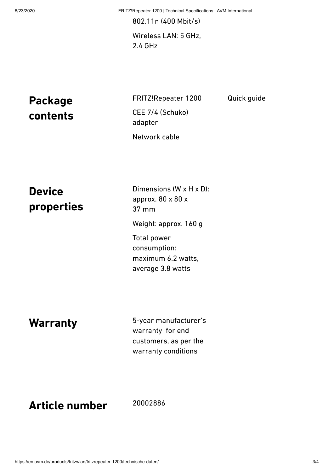6/23/2020 FRITZ!Repeater 1200 | Technical Specifications | AVM International

Quick guide

802.11n (400 Mbit/s) Wireless LAN: 5 GHz, 2.4 GHz

**Package contents** FRITZ!Repeater 1200 CEE 7/4 (Schuko) adapter Network cable

**Device properties**

Dimensions (W x H x D): approx. 80 x 80 x 37 mm Weight: approx. 160 g Total power consumption: maximum 6.2 watts, average 3.8 watts

**Warranty**

5-year manufacturer's warranty for end customers, as per the warranty conditions

## **Article number**

20002886